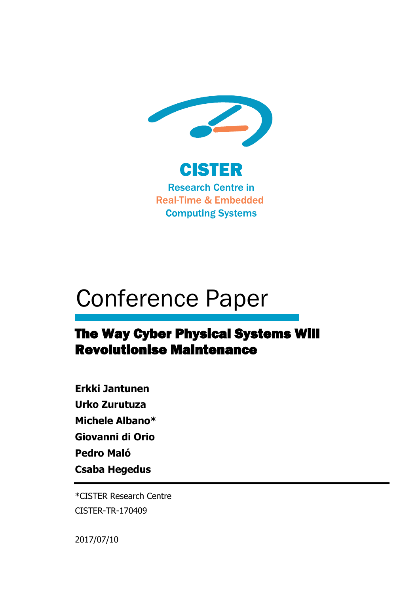

# Conference Paper

# The Way Cyber Physical Systems Will Revolutionise Maintenance

**Erkki Jantunen Urko Zurutuza Michele Albano\* Giovanni di Orio Pedro Maló Csaba Hegedus** 

\*CISTER Research Centre CISTER-TR-170409

2017/07/10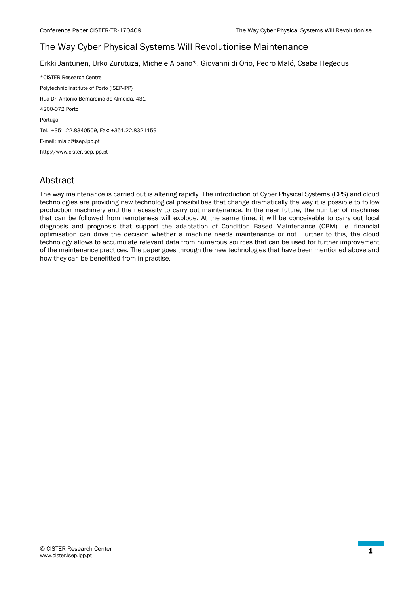# The Way Cyber Physical Systems Will Revolutionise Maintenance

Erkki Jantunen, Urko Zurutuza, Michele Albano\*, Giovanni di Orio, Pedro Maló, Csaba Hegedus

\*CISTER Research Centre Polytechnic Institute of Porto (ISEP-IPP) Rua Dr. António Bernardino de Almeida, 431 4200-072 Porto Portugal Tel.: +351.22.8340509, Fax: +351.22.8321159 E-mail: mialb@isep.ipp.pt http://www.cister.isep.ipp.pt

# Abstract

The way maintenance is carried out is altering rapidly. The introduction of Cyber Physical Systems (CPS) and cloud technologies are providing new technological possibilities that change dramatically the way it is possible to follow production machinery and the necessity to carry out maintenance. In the near future, the number of machines that can be followed from remoteness will explode. At the same time, it will be conceivable to carry out local diagnosis and prognosis that support the adaptation of Condition Based Maintenance (CBM) i.e. financial optimisation can drive the decision whether a machine needs maintenance or not. Further to this, the cloud technology allows to accumulate relevant data from numerous sources that can be used for further improvement of the maintenance practices. The paper goes through the new technologies that have been mentioned above and how they can be benefitted from in practise.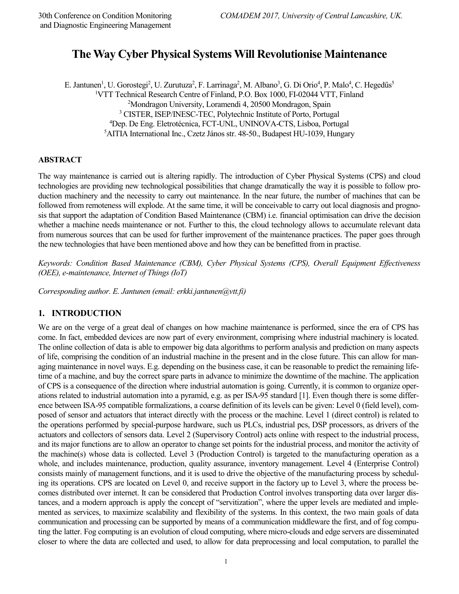# **The Way Cyber Physical Systems Will Revolutionise Maintenance**

E. Jantunen<sup>1</sup>, U. Gorostegi<sup>2</sup>, U. Zurutuza<sup>2</sup>, F. Larrinaga<sup>2</sup>, M. Albano<sup>3</sup>, G. Di Orio<sup>4</sup>, P. Malo<sup>4</sup>, C. Hegedűs<sup>5</sup>

<sup>1</sup>VTT Technical Research Centre of Finland, P.O. Box 1000, FI-02044 VTT, Finland

<sup>2</sup>Mondragon University, Loramendi 4, 20500 Mondragon, Spain

3 CISTER, ISEP/INESC-TEC, Polytechnic Institute of Porto, Portugal

<sup>4</sup>Dep. De Eng. Eletrotécnica, FCT-UNL, UNINOVA-CTS, Lisboa, Portugal

<sup>5</sup>AITIA International Inc., Czetz János str. 48-50., Budapest HU-1039, Hungary

#### **ABSTRACT**

The way maintenance is carried out is altering rapidly. The introduction of Cyber Physical Systems (CPS) and cloud technologies are providing new technological possibilities that change dramatically the way it is possible to follow production machinery and the necessity to carry out maintenance. In the near future, the number of machines that can be followed from remoteness will explode. At the same time, it will be conceivable to carry out local diagnosis and prognosis that support the adaptation of Condition Based Maintenance (CBM) i.e. financial optimisation can drive the decision whether a machine needs maintenance or not. Further to this, the cloud technology allows to accumulate relevant data from numerous sources that can be used for further improvement of the maintenance practices. The paper goes through the new technologies that have been mentioned above and how they can be benefitted from in practise.

*Keywords: Condition Based Maintenance (CBM), Cyber Physical Systems (CPS), Overall Equipment Effectiveness (OEE), e-maintenance, Internet of Things (IoT)* 

*Corresponding author. E. Jantunen (email: erkki.jantunen@vtt.fi)* 

#### **1. INTRODUCTION**

We are on the verge of a great deal of changes on how machine maintenance is performed, since the era of CPS has come. In fact, embedded devices are now part of every environment, comprising where industrial machinery is located. The online collection of data is able to empower big data algorithms to perform analysis and prediction on many aspects of life, comprising the condition of an industrial machine in the present and in the close future. This can allow for managing maintenance in novel ways. E.g. depending on the business case, it can be reasonable to predict the remaining lifetime of a machine, and buy the correct spare parts in advance to minimize the downtime of the machine. The application of CPS is a consequence of the direction where industrial automation is going. Currently, it is common to organize operations related to industrial automation into a pyramid, e.g. as per ISA-95 standard [1]. Even though there is some difference between ISA-95 compatible formalizations, a coarse definition of its levels can be given: Level 0 (field level), composed of sensor and actuators that interact directly with the process or the machine. Level 1 (direct control) is related to the operations performed by special-purpose hardware, such us PLCs, industrial pcs, DSP processors, as drivers of the actuators and collectors of sensors data. Level 2 (Supervisory Control) acts online with respect to the industrial process, and its major functions are to allow an operator to change set points for the industrial process, and monitor the activity of the machine(s) whose data is collected. Level 3 (Production Control) is targeted to the manufacturing operation as a whole, and includes maintenance, production, quality assurance, inventory management. Level 4 (Enterprise Control) consists mainly of management functions, and it is used to drive the objective of the manufacturing process by scheduling its operations. CPS are located on Level 0, and receive support in the factory up to Level 3, where the process becomes distributed over internet. It can be considered that Production Control involves transporting data over larger distances, and a modern approach is apply the concept of "servitization", where the upper levels are mediated and implemented as services, to maximize scalability and flexibility of the systems. In this context, the two main goals of data communication and processing can be supported by means of a communication middleware the first, and of fog computing the latter. Fog computing is an evolution of cloud computing, where micro-clouds and edge servers are disseminated closer to where the data are collected and used, to allow for data preprocessing and local computation, to parallel the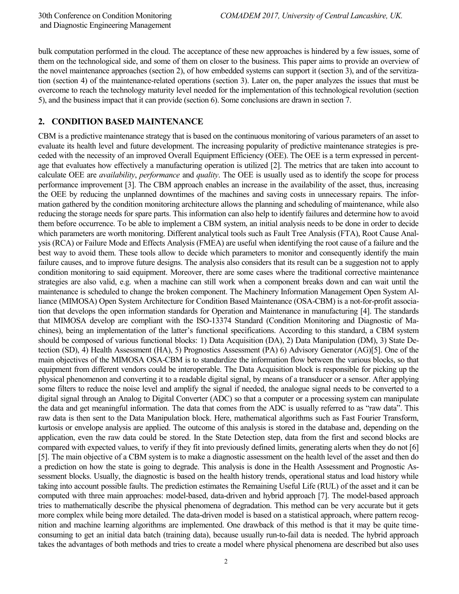bulk computation performed in the cloud. The acceptance of these new approaches is hindered by a few issues, some of them on the technological side, and some of them on closer to the business. This paper aims to provide an overview of the novel maintenance approaches (section 2), of how embedded systems can support it (section 3), and of the servitization (section 4) of the maintenance-related operations (section 3). Later on, the paper analyzes the issues that must be overcome to reach the technology maturity level needed for the implementation of this technological revolution (section 5), and the business impact that it can provide (section 6). Some conclusions are drawn in section 7.

#### **2. CONDITION BASED MAINTENANCE**

CBM is a predictive maintenance strategy that is based on the continuous monitoring of various parameters of an asset to evaluate its health level and future development. The increasing popularity of predictive maintenance strategies is preceded with the necessity of an improved Overall Equipment Efficiency (OEE). The OEE is a term expressed in percentage that evaluates how effectively a manufacturing operation is utilized [2]. The metrics that are taken into account to calculate OEE are *availability*, *performance* and *quality*. The OEE is usually used as to identify the scope for process performance improvement [3]. The CBM approach enables an increase in the availability of the asset, thus, increasing the OEE by reducing the unplanned downtimes of the machines and saving costs in unnecessary repairs. The information gathered by the condition monitoring architecture allows the planning and scheduling of maintenance, while also reducing the storage needs for spare parts. This information can also help to identify failures and determine how to avoid them before occurrence. To be able to implement a CBM system, an initial analysis needs to be done in order to decide which parameters are worth monitoring. Different analytical tools such as Fault Tree Analysis (FTA), Root Cause Analysis (RCA) or Failure Mode and Effects Analysis (FMEA) are useful when identifying the root cause of a failure and the best way to avoid them. These tools allow to decide which parameters to monitor and consequently identify the main failure causes, and to improve future designs. The analysis also considers that its result can be a suggestion not to apply condition monitoring to said equipment. Moreover, there are some cases where the traditional corrective maintenance strategies are also valid, e.g. when a machine can still work when a component breaks down and can wait until the maintenance is scheduled to change the broken component. The Machinery Information Management Open System Alliance (MIMOSA) Open System Architecture for Condition Based Maintenance (OSA-CBM) is a not-for-profit association that develops the open information standards for Operation and Maintenance in manufacturing [4]. The standards that MIMOSA develop are compliant with the ISO-13374 Standard (Condition Monitoring and Diagnostic of Machines), being an implementation of the latter's functional specifications. According to this standard, a CBM system should be composed of various functional blocks: 1) Data Acquisition (DA), 2) Data Manipulation (DM), 3) State Detection (SD), 4) Health Assessment (HA), 5) Prognostics Assessment (PA) 6) Advisory Generator (AG)[5]. One of the main objectives of the MIMOSA OSA-CBM is to standardize the information flow between the various blocks, so that equipment from different vendors could be interoperable. The Data Acquisition block is responsible for picking up the physical phenomenon and converting it to a readable digital signal, by means of a transducer or a sensor. After applying some filters to reduce the noise level and amplify the signal if needed, the analogue signal needs to be converted to a digital signal through an Analog to Digital Converter (ADC) so that a computer or a processing system can manipulate the data and get meaningful information. The data that comes from the ADC is usually referred to as "raw data". This raw data is then sent to the Data Manipulation block. Here, mathematical algorithms such as Fast Fourier Transform, kurtosis or envelope analysis are applied. The outcome of this analysis is stored in the database and, depending on the application, even the raw data could be stored. In the State Detection step, data from the first and second blocks are compared with expected values, to verify if they fit into previously defined limits, generating alerts when they do not [6] [5]. The main objective of a CBM system is to make a diagnostic assessment on the health level of the asset and then do a prediction on how the state is going to degrade. This analysis is done in the Health Assessment and Prognostic Assessment blocks. Usually, the diagnostic is based on the health history trends, operational status and load history while taking into account possible faults. The prediction estimates the Remaining Useful Life (RUL) of the asset and it can be computed with three main approaches: model-based, data-driven and hybrid approach [7]. The model-based approach tries to mathematically describe the physical phenomena of degradation. This method can be very accurate but it gets more complex while being more detailed. The data-driven model is based on a statistical approach, where pattern recognition and machine learning algorithms are implemented. One drawback of this method is that it may be quite timeconsuming to get an initial data batch (training data), because usually run-to-fail data is needed. The hybrid approach takes the advantages of both methods and tries to create a model where physical phenomena are described but also uses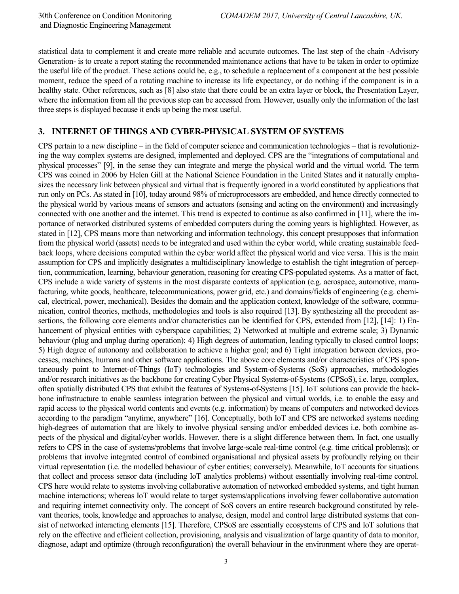statistical data to complement it and create more reliable and accurate outcomes. The last step of the chain -Advisory Generation- is to create a report stating the recommended maintenance actions that have to be taken in order to optimize the useful life of the product. These actions could be, e.g., to schedule a replacement of a component at the best possible moment, reduce the speed of a rotating machine to increase its life expectancy, or do nothing if the component is in a healthy state. Other references, such as [8] also state that there could be an extra layer or block, the Presentation Layer, where the information from all the previous step can be accessed from. However, usually only the information of the last three steps is displayed because it ends up being the most useful.

#### **3. INTERNET OF THINGS AND CYBER-PHYSICAL SYSTEM OF SYSTEMS**

CPS pertain to a new discipline – in the field of computer science and communication technologies – that is revolutionizing the way complex systems are designed, implemented and deployed. CPS are the "integrations of computational and physical processes" [9], in the sense they can integrate and merge the physical world and the virtual world. The term CPS was coined in 2006 by Helen Gill at the National Science Foundation in the United States and it naturally emphasizes the necessary link between physical and virtual that is frequently ignored in a world constituted by applications that run only on PCs. As stated in [10], today around 98% of microprocessors are embedded, and hence directly connected to the physical world by various means of sensors and actuators (sensing and acting on the environment) and increasingly connected with one another and the internet. This trend is expected to continue as also confirmed in [11], where the importance of networked distributed systems of embedded computers during the coming years is highlighted. However, as stated in [12], CPS means more than networking and information technology, this concept presupposes that information from the physical world (assets) needs to be integrated and used within the cyber world, while creating sustainable feedback loops, where decisions computed within the cyber world affect the physical world and vice versa. This is the main assumption for CPS and implicitly designates a multidisciplinary knowledge to establish the tight integration of perception, communication, learning, behaviour generation, reasoning for creating CPS-populated systems. As a matter of fact, CPS include a wide variety of systems in the most disparate contexts of application (e.g. aerospace, automotive, manufacturing, white goods, healthcare, telecommunications, power grid, etc.) and domains/fields of engineering (e.g. chemical, electrical, power, mechanical). Besides the domain and the application context, knowledge of the software, communication, control theories, methods, methodologies and tools is also required [13]. By synthesizing all the precedent assertions, the following core elements and/or characteristics can be identified for CPS, extended from [12], [14]: 1) Enhancement of physical entities with cyberspace capabilities; 2) Networked at multiple and extreme scale; 3) Dynamic behaviour (plug and unplug during operation); 4) High degrees of automation, leading typically to closed control loops; 5) High degree of autonomy and collaboration to achieve a higher goal; and 6) Tight integration between devices, processes, machines, humans and other software applications. The above core elements and/or characteristics of CPS spontaneously point to Internet-of-Things (IoT) technologies and System-of-Systems (SoS) approaches, methodologies and/or research initiatives as the backbone for creating Cyber Physical Systems-of-Systems (CPSoS), i.e. large, complex, often spatially distributed CPS that exhibit the features of Systems-of-Systems [15]. IoT solutions can provide the backbone infrastructure to enable seamless integration between the physical and virtual worlds, i.e. to enable the easy and rapid access to the physical world contents and events (e.g. information) by means of computers and networked devices according to the paradigm "anytime, anywhere" [16]. Conceptually, both IoT and CPS are networked systems needing high-degrees of automation that are likely to involve physical sensing and/or embedded devices i.e. both combine aspects of the physical and digital/cyber worlds. However, there is a slight difference between them. In fact, one usually refers to CPS in the case of systems/problems that involve large-scale real-time control (e.g. time critical problems); or problems that involve integrated control of combined organisational and physical assets by profoundly relying on their virtual representation (i.e. the modelled behaviour of cyber entities; conversely). Meanwhile, IoT accounts for situations that collect and process sensor data (including IoT analytics problems) without essentially involving real-time control. CPS here would relate to systems involving collaborative automation of networked embedded systems, and tight human machine interactions; whereas IoT would relate to target systems/applications involving fewer collaborative automation and requiring internet connectivity only. The concept of SoS covers an entire research background constituted by relevant theories, tools, knowledge and approaches to analyse, design, model and control large distributed systems that consist of networked interacting elements [15]. Therefore, CPSoS are essentially ecosystems of CPS and IoT solutions that rely on the effective and efficient collection, provisioning, analysis and visualization of large quantity of data to monitor, diagnose, adapt and optimize (through reconfiguration) the overall behaviour in the environment where they are operat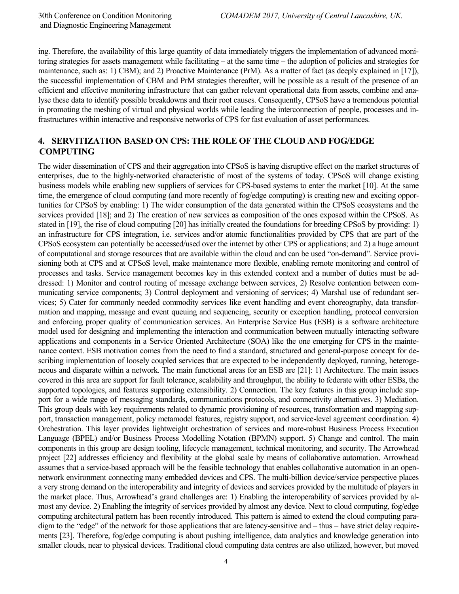ing. Therefore, the availability of this large quantity of data immediately triggers the implementation of advanced monitoring strategies for assets management while facilitating – at the same time – the adoption of policies and strategies for maintenance, such as: 1) CBM); and 2) Proactive Maintenance (PrM). As a matter of fact (as deeply explained in [17]), the successful implementation of CBM and PrM strategies thereafter, will be possible as a result of the presence of an efficient and effective monitoring infrastructure that can gather relevant operational data from assets, combine and analyse these data to identify possible breakdowns and their root causes. Consequently, CPSoS have a tremendous potential in promoting the meshing of virtual and physical worlds while leading the interconnection of people, processes and infrastructures within interactive and responsive networks of CPS for fast evaluation of asset performances.

### **4. SERVITIZATION BASED ON CPS: THE ROLE OF THE CLOUD AND FOG/EDGE COMPUTING**

The wider dissemination of CPS and their aggregation into CPSoS is having disruptive effect on the market structures of enterprises, due to the highly-networked characteristic of most of the systems of today. CPSoS will change existing business models while enabling new suppliers of services for CPS-based systems to enter the market [10]. At the same time, the emergence of cloud computing (and more recently of fog/edge computing) is creating new and exciting opportunities for CPSoS by enabling: 1) The wider consumption of the data generated within the CPSoS ecosystems and the services provided [18]; and 2) The creation of new services as composition of the ones exposed within the CPSoS. As stated in [19], the rise of cloud computing [20] has initially created the foundations for breeding CPSoS by providing: 1) an infrastructure for CPS integration, i.e. services and/or atomic functionalities provided by CPS that are part of the CPSoS ecosystem can potentially be accessed/used over the internet by other CPS or applications; and 2) a huge amount of computational and storage resources that are available within the cloud and can be used "on-demand". Service provisioning both at CPS and at CPSoS level, make maintenance more flexible, enabling remote monitoring and control of processes and tasks. Service management becomes key in this extended context and a number of duties must be addressed: 1) Monitor and control routing of message exchange between services, 2) Resolve contention between communicating service components; 3) Control deployment and versioning of services; 4) Marshal use of redundant services; 5) Cater for commonly needed commodity services like event handling and event choreography, data transformation and mapping, message and event queuing and sequencing, security or exception handling, protocol conversion and enforcing proper quality of communication services. An Enterprise Service Bus (ESB) is a software architecture model used for designing and implementing the interaction and communication between mutually interacting software applications and components in a Service Oriented Architecture (SOA) like the one emerging for CPS in the maintenance context. ESB motivation comes from the need to find a standard, structured and general-purpose concept for describing implementation of loosely coupled services that are expected to be independently deployed, running, heterogeneous and disparate within a network. The main functional areas for an ESB are [21]: 1) Architecture. The main issues covered in this area are support for fault tolerance, scalability and throughput, the ability to federate with other ESBs, the supported topologies, and features supporting extensibility. 2) Connection. The key features in this group include support for a wide range of messaging standards, communications protocols, and connectivity alternatives. 3) Mediation. This group deals with key requirements related to dynamic provisioning of resources, transformation and mapping support, transaction management, policy metamodel features, registry support, and service-level agreement coordination. 4) Orchestration. This layer provides lightweight orchestration of services and more-robust Business Process Execution Language (BPEL) and/or Business Process Modelling Notation (BPMN) support. 5) Change and control. The main components in this group are design tooling, lifecycle management, technical monitoring, and security. The Arrowhead project [22] addresses efficiency and flexibility at the global scale by means of collaborative automation. Arrowhead assumes that a service-based approach will be the feasible technology that enables collaborative automation in an opennetwork environment connecting many embedded devices and CPS. The multi-billion device/service perspective places a very strong demand on the interoperability and integrity of devices and services provided by the multitude of players in the market place. Thus, Arrowhead's grand challenges are: 1) Enabling the interoperability of services provided by almost any device. 2) Enabling the integrity of services provided by almost any device. Next to cloud computing, fog/edge computing architectural pattern has been recently introduced. This pattern is aimed to extend the cloud computing paradigm to the "edge" of the network for those applications that are latency-sensitive and – thus – have strict delay requirements [23]. Therefore, fog/edge computing is about pushing intelligence, data analytics and knowledge generation into smaller clouds, near to physical devices. Traditional cloud computing data centres are also utilized, however, but moved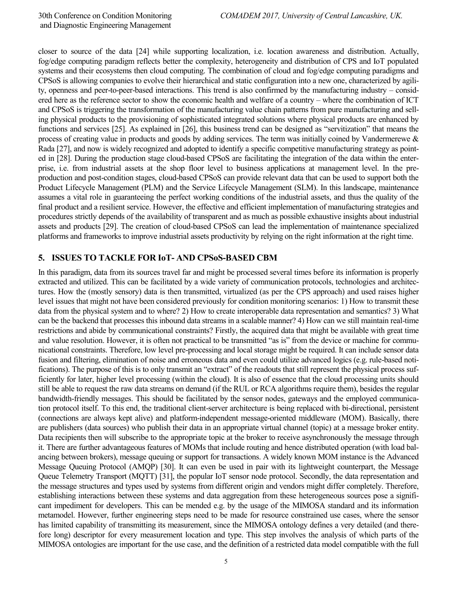closer to source of the data [24] while supporting localization, i.e. location awareness and distribution. Actually, fog/edge computing paradigm reflects better the complexity, heterogeneity and distribution of CPS and IoT populated systems and their ecosystems then cloud computing. The combination of cloud and fog/edge computing paradigms and CPSoS is allowing companies to evolve their hierarchical and static configuration into a new one, characterized by agility, openness and peer-to-peer-based interactions. This trend is also confirmed by the manufacturing industry – considered here as the reference sector to show the economic health and welfare of a country – where the combination of ICT and CPSoS is triggering the transformation of the manufacturing value chain patterns from pure manufacturing and selling physical products to the provisioning of sophisticated integrated solutions where physical products are enhanced by functions and services [25]. As explained in [26], this business trend can be designed as "servitization" that means the process of creating value in products and goods by adding services. The term was initially coined by Vandermerewe & Rada [27], and now is widely recognized and adopted to identify a specific competitive manufacturing strategy as pointed in [28]. During the production stage cloud-based CPSoS are facilitating the integration of the data within the enterprise, i.e. from industrial assets at the shop floor level to business applications at management level. In the preproduction and post-condition stages, cloud-based CPSoS can provide relevant data that can be used to support both the Product Lifecycle Management (PLM) and the Service Lifecycle Management (SLM). In this landscape, maintenance assumes a vital role in guaranteeing the perfect working conditions of the industrial assets, and thus the quality of the final product and a resilient service. However, the effective and efficient implementation of manufacturing strategies and procedures strictly depends of the availability of transparent and as much as possible exhaustive insights about industrial assets and products [29]. The creation of cloud-based CPSoS can lead the implementation of maintenance specialized platforms and frameworks to improve industrial assets productivity by relying on the right information at the right time.

#### **5. ISSUES TO TACKLE FOR IoT- AND CPSoS-BASED CBM**

In this paradigm, data from its sources travel far and might be processed several times before its information is properly extracted and utilized. This can be facilitated by a wide variety of communication protocols, technologies and architectures. How the (mostly sensory) data is then transmitted, virtualized (as per the CPS approach) and used raises higher level issues that might not have been considered previously for condition monitoring scenarios: 1) How to transmit these data from the physical system and to where? 2) How to create interoperable data representation and semantics? 3) What can be the backend that processes this inbound data streams in a scalable manner? 4) How can we still maintain real-time restrictions and abide by communicational constraints? Firstly, the acquired data that might be available with great time and value resolution. However, it is often not practical to be transmitted "as is" from the device or machine for communicational constraints. Therefore, low level pre-processing and local storage might be required. It can include sensor data fusion and filtering, elimination of noise and erroneous data and even could utilize advanced logics (e.g. rule-based notifications). The purpose of this is to only transmit an "extract" of the readouts that still represent the physical process sufficiently for later, higher level processing (within the cloud). It is also of essence that the cloud processing units should still be able to request the raw data streams on demand (if the RUL or RCA algorithms require them), besides the regular bandwidth-friendly messages. This should be facilitated by the sensor nodes, gateways and the employed communication protocol itself. To this end, the traditional client-server architecture is being replaced with bi-directional, persistent (connections are always kept alive) and platform-independent message-oriented middleware (MOM). Basically, there are publishers (data sources) who publish their data in an appropriate virtual channel (topic) at a message broker entity. Data recipients then will subscribe to the appropriate topic at the broker to receive asynchronously the message through it. There are further advantageous features of MOMs that include routing and hence distributed operation (with load balancing between brokers), message queuing or support for transactions. A widely known MOM instance is the Advanced Message Queuing Protocol (AMQP) [30]. It can even be used in pair with its lightweight counterpart, the Message Queue Telemetry Transport (MQTT) [31], the popular IoT sensor node protocol. Secondly, the data representation and the message structures and types used by systems from different origin and vendors might differ completely. Therefore, establishing interactions between these systems and data aggregation from these heterogeneous sources pose a significant impediment for developers. This can be mended e.g. by the usage of the MIMOSA standard and its information metamodel. However, further engineering steps need to be made for resource constrained use cases, where the sensor has limited capability of transmitting its measurement, since the MIMOSA ontology defines a very detailed (and therefore long) descriptor for every measurement location and type. This step involves the analysis of which parts of the MIMOSA ontologies are important for the use case, and the definition of a restricted data model compatible with the full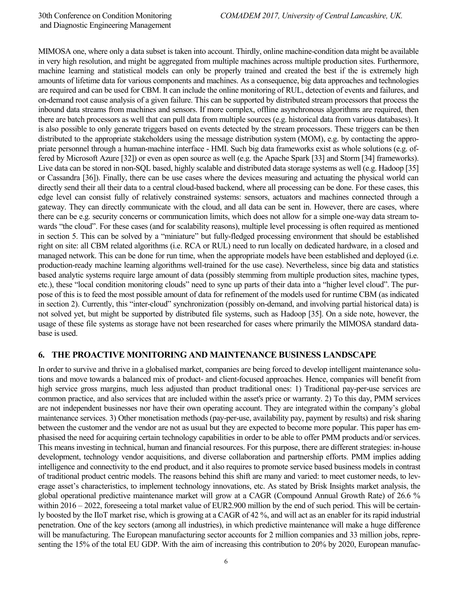MIMOSA one, where only a data subset is taken into account. Thirdly, online machine-condition data might be available in very high resolution, and might be aggregated from multiple machines across multiple production sites. Furthermore, machine learning and statistical models can only be properly trained and created the best if the is extremely high amounts of lifetime data for various components and machines. As a consequence, big data approaches and technologies are required and can be used for CBM. It can include the online monitoring of RUL, detection of events and failures, and on-demand root cause analysis of a given failure. This can be supported by distributed stream processors that process the inbound data streams from machines and sensors. If more complex, offline asynchronous algorithms are required, then there are batch processors as well that can pull data from multiple sources (e.g. historical data from various databases). It is also possible to only generate triggers based on events detected by the stream processors. These triggers can be then distributed to the appropriate stakeholders using the message distribution system (MOM), e.g. by contacting the appropriate personnel through a human-machine interface - HMI. Such big data frameworks exist as whole solutions (e.g. offered by Microsoft Azure [32]) or even as open source as well (e.g. the Apache Spark [33] and Storm [34] frameworks). Live data can be stored in non-SQL based, highly scalable and distributed data storage systems as well (e.g. Hadoop [35] or Cassandra [36]). Finally, there can be use cases where the devices measuring and actuating the physical world can directly send their all their data to a central cloud-based backend, where all processing can be done. For these cases, this edge level can consist fully of relatively constrained systems: sensors, actuators and machines connected through a gateway. They can directly communicate with the cloud, and all data can be sent in. However, there are cases, where there can be e.g. security concerns or communication limits, which does not allow for a simple one-way data stream towards "the cloud". For these cases (and for scalability reasons), multiple level processing is often required as mentioned in section 5. This can be solved by a "miniature" but fully-fledged processing environment that should be established right on site: all CBM related algorithms (i.e. RCA or RUL) need to run locally on dedicated hardware, in a closed and managed network. This can be done for run time, when the appropriate models have been established and deployed (i.e. production-ready machine learning algorithms well-trained for the use case). Nevertheless, since big data and statistics based analytic systems require large amount of data (possibly stemming from multiple production sites, machine types, etc.), these "local condition monitoring clouds" need to sync up parts of their data into a "higher level cloud". The purpose of this is to feed the most possible amount of data for refinement of the models used for runtime CBM (as indicated in section 2). Currently, this "inter-cloud" synchronization (possibly on-demand, and involving partial historical data) is not solved yet, but might be supported by distributed file systems, such as Hadoop [35]. On a side note, however, the usage of these file systems as storage have not been researched for cases where primarily the MIMOSA standard database is used.

#### **6. THE PROACTIVE MONITORING AND MAINTENANCE BUSINESS LANDSCAPE**

In order to survive and thrive in a globalised market, companies are being forced to develop intelligent maintenance solutions and move towards a balanced mix of product- and client-focused approaches. Hence, companies will benefit from high service gross margins, much less adjusted than product traditional ones: 1) Traditional pay-per-use services are common practice, and also services that are included within the asset's price or warranty. 2) To this day, PMM services are not independent businesses nor have their own operating account. They are integrated within the company's global maintenance services. 3) Other monetisation methods (pay-per-use, availability pay, payment by results) and risk sharing between the customer and the vendor are not as usual but they are expected to become more popular. This paper has emphasised the need for acquiring certain technology capabilities in order to be able to offer PMM products and/or services. This means investing in technical, human and financial resources. For this purpose, there are different strategies: in-house development, technology vendor acquisitions, and diverse collaboration and partnership efforts. PMM implies adding intelligence and connectivity to the end product, and it also requires to promote service based business models in contrast of traditional product centric models. The reasons behind this shift are many and varied: to meet customer needs, to leverage asset's characteristics, to implement technology innovations, etc. As stated by Brisk Insights market analysis, the global operational predictive maintenance market will grow at a CAGR (Compound Annual Growth Rate) of 26.6 % within 2016 – 2022, foreseeing a total market value of EUR2.900 million by the end of such period. This will be certainly boosted by the IIoT market rise, which is growing at a CAGR of 42 %, and will act as an enabler for its rapid industrial penetration. One of the key sectors (among all industries), in which predictive maintenance will make a huge difference will be manufacturing. The European manufacturing sector accounts for 2 million companies and 33 million jobs, representing the 15% of the total EU GDP. With the aim of increasing this contribution to 20% by 2020, European manufac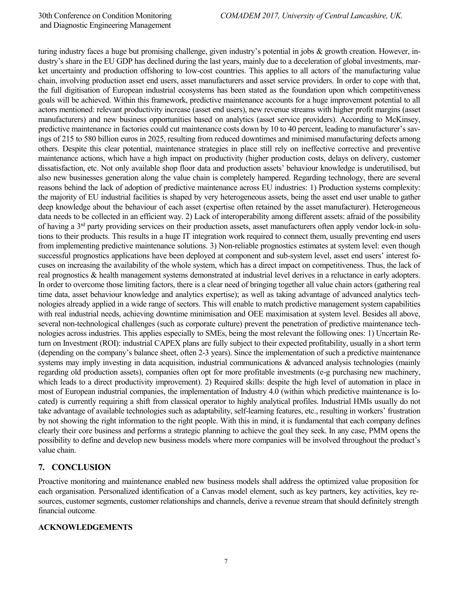turing industry faces a huge but promising challenge, given industry's potential in jobs & growth creation. However, industry's share in the EU GDP has declined during the last years, mainly due to a deceleration of global investments, market uncertainty and production offshoring to low-cost countries. This applies to all actors of the manufacturing value chain, involving production asset end users, asset manufacturers and asset service providers. In order to cope with that, the full digitisation of European industrial ecosystems has been stated as the foundation upon which competitiveness goals will be achieved. Within this framework, predictive maintenance accounts for a huge improvement potential to all actors mentioned: relevant productivity increase (asset end users), new revenue streams with higher profit margins (asset manufacturers) and new business opportunities based on analytics (asset service providers). According to McKinsey, predictive maintenance in factories could cut maintenance costs down by 10 to 40 percent, leading to manufacturer's savings of 215 to 580 billion euros in 2025, resulting from reduced downtimes and minimised manufacturing defects among others. Despite this clear potential, maintenance strategies in place still rely on ineffective corrective and preventive maintenance actions, which have a high impact on productivity (higher production costs, delays on delivery, customer dissatisfaction, etc. Not only available shop floor data and production assets' behaviour knowledge is underutilised, but also new businesses generation along the value chain is completely hampered. Regarding technology, there are several reasons behind the lack of adoption of predictive maintenance across EU industries: 1) Production systems complexity: the majority of EU industrial facilities is shaped by very heterogeneous assets, being the asset end user unable to gather deep knowledge about the behaviour of each asset (expertise often retained by the asset manufacturer). Heterogeneous data needs to be collected in an efficient way. 2) Lack of interoperability among different assets: afraid of the possibility of having a  $3<sup>rd</sup>$  party providing services on their production assets, asset manufacturers often apply vendor lock-in solutions to their products. This results in a huge IT integration work required to connect them, usually preventing end users from implementing predictive maintenance solutions. 3) Non-reliable prognostics estimates at system level: even though successful prognostics applications have been deployed at component and sub-system level, asset end users' interest focuses on increasing the availability of the whole system, which has a direct impact on competitiveness. Thus, the lack of real prognostics & health management systems demonstrated at industrial level derives in a reluctance in early adopters. In order to overcome those limiting factors, there is a clear need of bringing together all value chain actors (gathering real time data, asset behaviour knowledge and analytics expertise); as well as taking advantage of advanced analytics technologies already applied in a wide range of sectors. This will enable to match predictive management system capabilities with real industrial needs, achieving downtime minimisation and OEE maximisation at system level. Besides all above, several non-technological challenges (such as corporate culture) prevent the penetration of predictive maintenance technologies across industries. This applies especially to SMEs, being the most relevant the following ones: 1) Uncertain Return on Investment (ROI): industrial CAPEX plans are fully subject to their expected profitability, usually in a short term (depending on the company's balance sheet, often 2-3 years). Since the implementation of such a predictive maintenance systems may imply investing in data acquisition, industrial communications & advanced analysis technologies (mainly regarding old production assets), companies often opt for more profitable investments (e-g purchasing new machinery, which leads to a direct productivity improvement). 2) Required skills: despite the high level of automation in place in most of European industrial companies, the implementation of Industry 4.0 (within which predictive maintenance is located) is currently requiring a shift from classical operator to highly analytical profiles. Industrial HMIs usually do not take advantage of available technologies such as adaptability, self-learning features, etc., resulting in workers' frustration by not showing the right information to the right people. With this in mind, it is fundamental that each company defines clearly their core business and performs a strategic planning to achieve the goal they seek. In any case, PMM opens the possibility to define and develop new business models where more companies will be involved throughout the product's value chain.

# **7. CONCLUSION**

Proactive monitoring and maintenance enabled new business models shall address the optimized value proposition for each organisation. Personalized identification of a Canvas model element, such as key partners, key activities, key resources, customer segments, customer relationships and channels, derive a revenue stream that should definitely strength financial outcome.

#### **ACKNOWLEDGEMENTS**